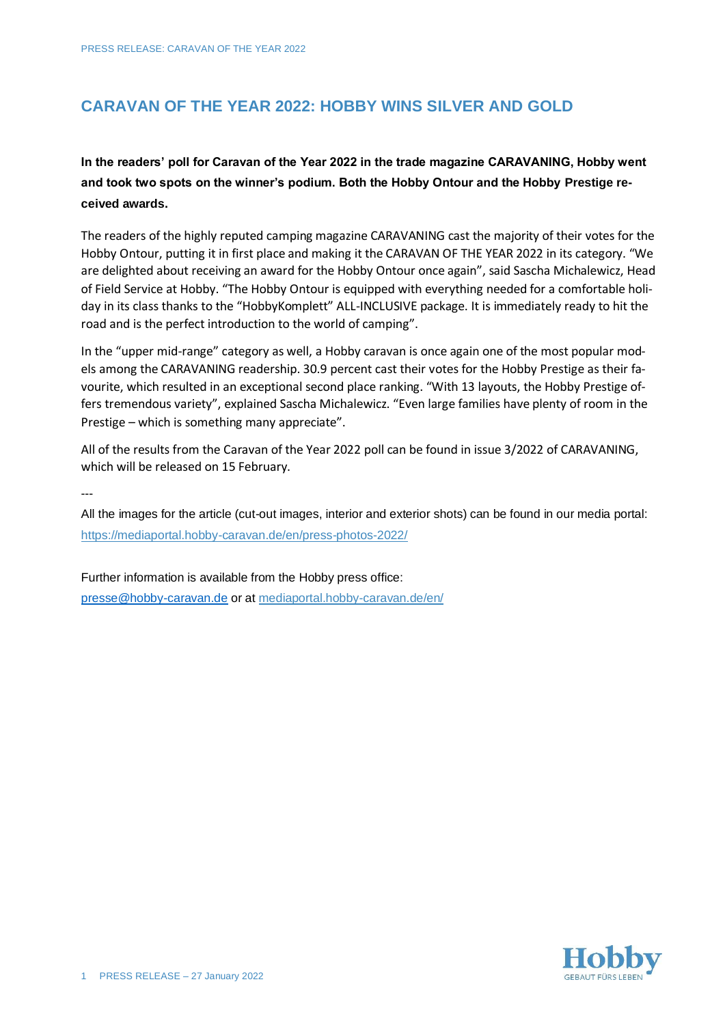## **CARAVAN OF THE YEAR 2022: HOBBY WINS SILVER AND GOLD**

**In the readers' poll for Caravan of the Year 2022 in the trade magazine CARAVANING, Hobby went and took two spots on the winner's podium. Both the Hobby Ontour and the Hobby Prestige received awards.**

The readers of the highly reputed camping magazine CARAVANING cast the majority of their votes for the Hobby Ontour, putting it in first place and making it the CARAVAN OF THE YEAR 2022 in its category. "We are delighted about receiving an award for the Hobby Ontour once again", said Sascha Michalewicz, Head of Field Service at Hobby. "The Hobby Ontour is equipped with everything needed for a comfortable holiday in its class thanks to the "HobbyKomplett" ALL-INCLUSIVE package. It is immediately ready to hit the road and is the perfect introduction to the world of camping".

In the "upper mid-range" category as well, a Hobby caravan is once again one of the most popular models among the CARAVANING readership. 30.9 percent cast their votes for the Hobby Prestige as their favourite, which resulted in an exceptional second place ranking. "With 13 layouts, the Hobby Prestige offers tremendous variety", explained Sascha Michalewicz. "Even large families have plenty of room in the Prestige – which is something many appreciate".

All of the results from the Caravan of the Year 2022 poll can be found in issue 3/2022 of CARAVANING, which will be released on 15 February.

---

All the images for the article (cut-out images, interior and exterior shots) can be found in our media portal: <https://mediaportal.hobby-caravan.de/en/press-photos-2022/>

Further information is available from the Hobby press office: [presse@hobby-caravan.de](mailto:presse@hobby-caravan.de) or at [mediaportal.hobby-caravan.de/](https://mediaportal.hobby-caravan.de/)en/

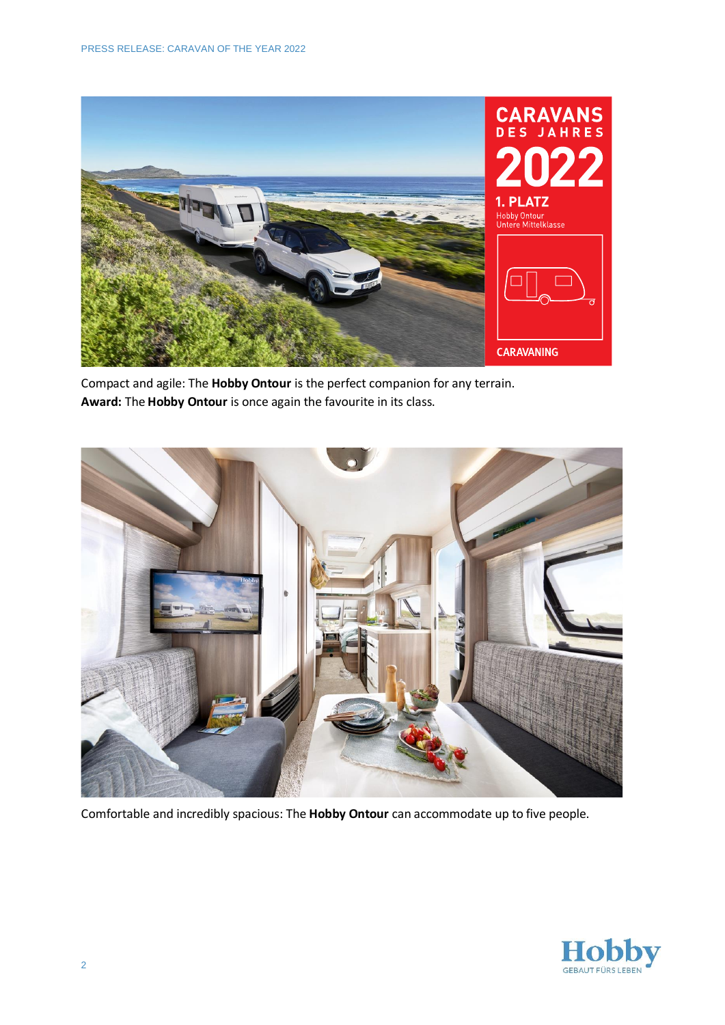

Compact and agile: The **Hobby Ontour** is the perfect companion for any terrain. **Award:** The **Hobby Ontour** is once again the favourite in its class.



Comfortable and incredibly spacious: The **Hobby Ontour** can accommodate up to five people.